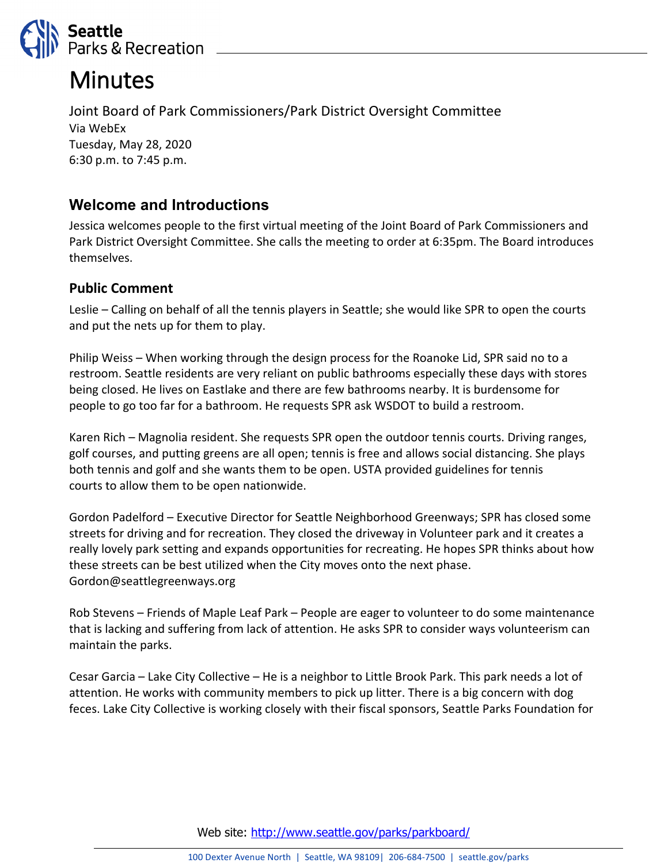

# **Minutes**

Joint Board of Park Commissioners/Park District Oversight Committee Via WebEx Tuesday, May 28, 2020 6:30 p.m. to 7:45 p.m.

## **Welcome and Introductions**

Jessica welcomes people to the first virtual meeting of the Joint Board of Park Commissioners and Park District Oversight Committee. She calls the meeting to order at 6:35pm. The Board introduces themselves.

### **Public Comment**

Leslie – Calling on behalf of all the tennis players in Seattle; she would like SPR to open the courts and put the nets up for them to play.

Philip Weiss – When working through the design process for the Roanoke Lid, SPR said no to a restroom. Seattle residents are very reliant on public bathrooms especially these days with stores being closed. He lives on Eastlake and there are few bathrooms nearby. It is burdensome for people to go too far for a bathroom. He requests SPR ask WSDOT to build a restroom.

Karen Rich – Magnolia resident. She requests SPR open the outdoor tennis courts. Driving ranges, golf courses, and putting greens are all open; tennis is free and allows social distancing. She plays both tennis and golf and she wants them to be open. USTA provided guidelines for tennis courts to allow them to be open nationwide.

Gordon Padelford – Executive Director for Seattle Neighborhood Greenways; SPR has closed some streets for driving and for recreation. They closed the driveway in Volunteer park and it creates a really lovely park setting and expands opportunities for recreating. He hopes SPR thinks about how these streets can be best utilized when the City moves onto the next phase. Gordon@seattlegreenways.org

Rob Stevens – Friends of Maple Leaf Park – People are eager to volunteer to do some maintenance that is lacking and suffering from lack of attention. He asks SPR to consider ways volunteerism can maintain the parks.

Cesar Garcia – Lake City Collective – He is a neighbor to Little Brook Park. This park needs a lot of attention. He works with community members to pick up litter. There is a big concern with dog feces. Lake City Collective is working closely with their fiscal sponsors, Seattle Parks Foundation for

Web site: <http://www.seattle.gov/parks/parkboard/>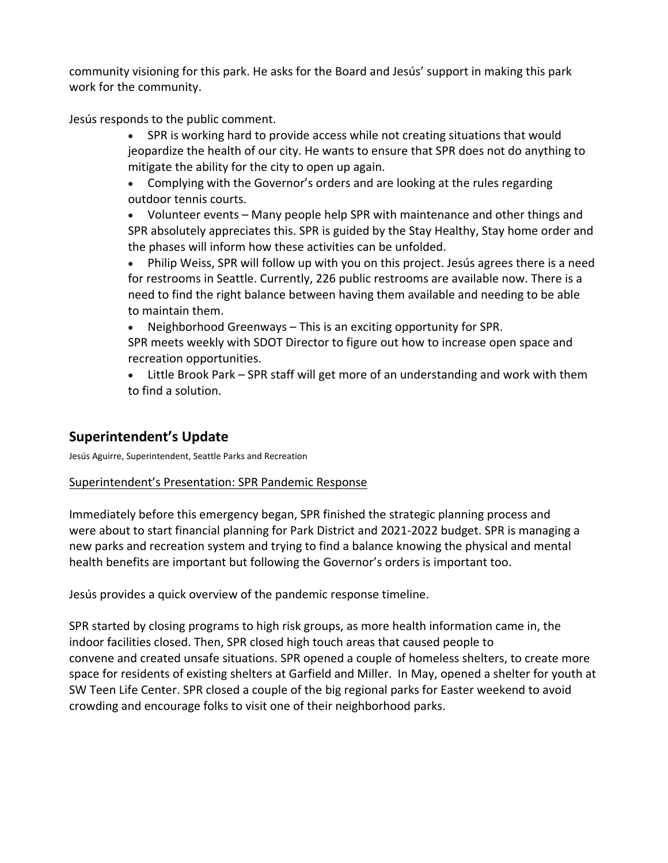community visioning for this park. He asks for the Board and Jesús' support in making this park work for the community.

Jesús responds to the public comment.

- SPR is working hard to provide access while not creating situations that would jeopardize the health of our city. He wants to ensure that SPR does not do anything to mitigate the ability for the city to open up again.
- Complying with the Governor's orders and are looking at the rules regarding outdoor tennis courts.

• Volunteer events – Many people help SPR with maintenance and other things and SPR absolutely appreciates this. SPR is guided by the Stay Healthy, Stay home order and the phases will inform how these activities can be unfolded.

• Philip Weiss, SPR will follow up with you on this project. Jesús agrees there is a need for restrooms in Seattle. Currently, 226 public restrooms are available now. There is a need to find the right balance between having them available and needing to be able to maintain them.

• Neighborhood Greenways – This is an exciting opportunity for SPR.

SPR meets weekly with SDOT Director to figure out how to increase open space and recreation opportunities.

• Little Brook Park – SPR staff will get more of an understanding and work with them to find a solution.

## **Superintendent's Update**

Jesús Aguirre, Superintendent, Seattle Parks and Recreation

#### Superintendent's Presentation: SPR Pandemic Response

Immediately before this emergency began, SPR finished the strategic planning process and were about to start financial planning for Park District and 2021-2022 budget. SPR is managing a new parks and recreation system and trying to find a balance knowing the physical and mental health benefits are important but following the Governor's orders is important too.

Jesús provides a quick overview of the pandemic response timeline.

SPR started by closing programs to high risk groups, as more health information came in, the indoor facilities closed. Then, SPR closed high touch areas that caused people to convene and created unsafe situations. SPR opened a couple of homeless shelters, to create more space for residents of existing shelters at Garfield and Miller. In May, opened a shelter for youth at SW Teen Life Center. SPR closed a couple of the big regional parks for Easter weekend to avoid crowding and encourage folks to visit one of their neighborhood parks.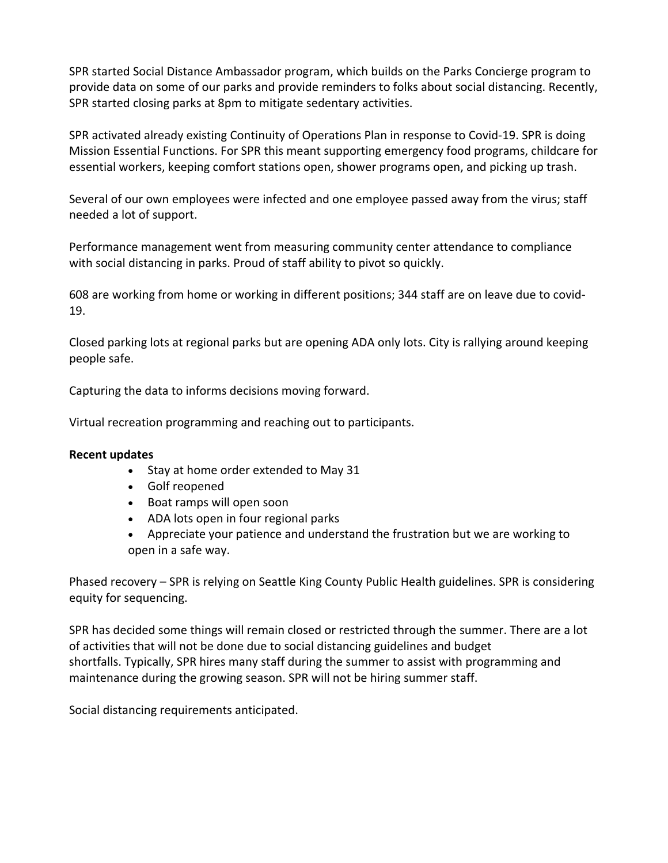SPR started Social Distance Ambassador program, which builds on the Parks Concierge program to provide data on some of our parks and provide reminders to folks about social distancing. Recently, SPR started closing parks at 8pm to mitigate sedentary activities.

SPR activated already existing Continuity of Operations Plan in response to Covid-19. SPR is doing Mission Essential Functions. For SPR this meant supporting emergency food programs, childcare for essential workers, keeping comfort stations open, shower programs open, and picking up trash.

Several of our own employees were infected and one employee passed away from the virus; staff needed a lot of support.

Performance management went from measuring community center attendance to compliance with social distancing in parks. Proud of staff ability to pivot so quickly.

608 are working from home or working in different positions; 344 staff are on leave due to covid-19.

Closed parking lots at regional parks but are opening ADA only lots. City is rallying around keeping people safe.

Capturing the data to informs decisions moving forward.

Virtual recreation programming and reaching out to participants.

#### **Recent updates**

- Stay at home order extended to May 31
- Golf reopened
- Boat ramps will open soon
- ADA lots open in four regional parks
- Appreciate your patience and understand the frustration but we are working to open in a safe way.

Phased recovery – SPR is relying on Seattle King County Public Health guidelines. SPR is considering equity for sequencing.

SPR has decided some things will remain closed or restricted through the summer. There are a lot of activities that will not be done due to social distancing guidelines and budget shortfalls. Typically, SPR hires many staff during the summer to assist with programming and maintenance during the growing season. SPR will not be hiring summer staff.

Social distancing requirements anticipated.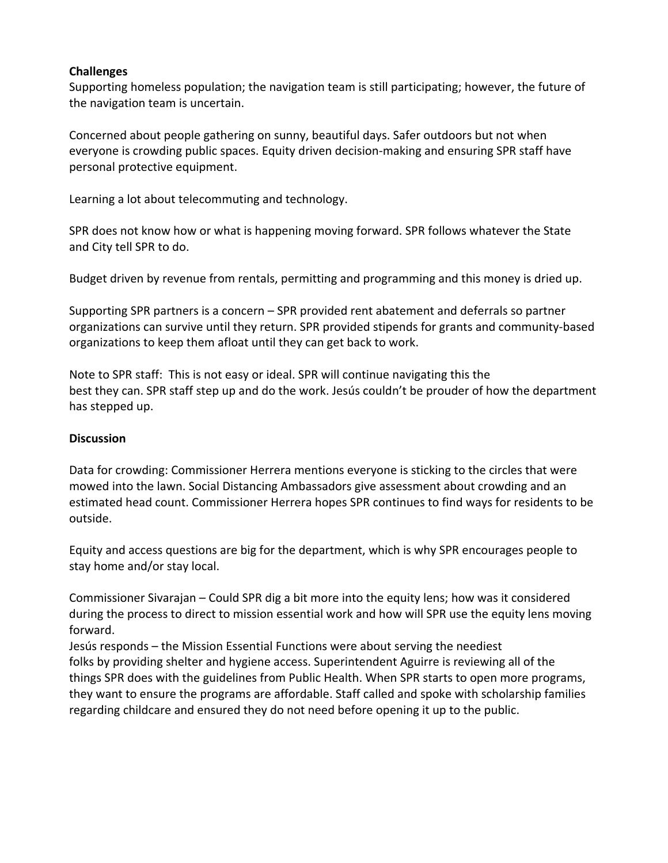#### **Challenges**

Supporting homeless population; the navigation team is still participating; however, the future of the navigation team is uncertain.

Concerned about people gathering on sunny, beautiful days. Safer outdoors but not when everyone is crowding public spaces. Equity driven decision-making and ensuring SPR staff have personal protective equipment.

Learning a lot about telecommuting and technology.

SPR does not know how or what is happening moving forward. SPR follows whatever the State and City tell SPR to do.

Budget driven by revenue from rentals, permitting and programming and this money is dried up.

Supporting SPR partners is a concern – SPR provided rent abatement and deferrals so partner organizations can survive until they return. SPR provided stipends for grants and community-based organizations to keep them afloat until they can get back to work.

Note to SPR staff: This is not easy or ideal. SPR will continue navigating this the best they can. SPR staff step up and do the work. Jesús couldn't be prouder of how the department has stepped up.

#### **Discussion**

Data for crowding: Commissioner Herrera mentions everyone is sticking to the circles that were mowed into the lawn. Social Distancing Ambassadors give assessment about crowding and an estimated head count. Commissioner Herrera hopes SPR continues to find ways for residents to be outside.

Equity and access questions are big for the department, which is why SPR encourages people to stay home and/or stay local.

Commissioner Sivarajan – Could SPR dig a bit more into the equity lens; how was it considered during the process to direct to mission essential work and how will SPR use the equity lens moving forward.

Jesús responds – the Mission Essential Functions were about serving the neediest folks by providing shelter and hygiene access. Superintendent Aguirre is reviewing all of the things SPR does with the guidelines from Public Health. When SPR starts to open more programs, they want to ensure the programs are affordable. Staff called and spoke with scholarship families regarding childcare and ensured they do not need before opening it up to the public.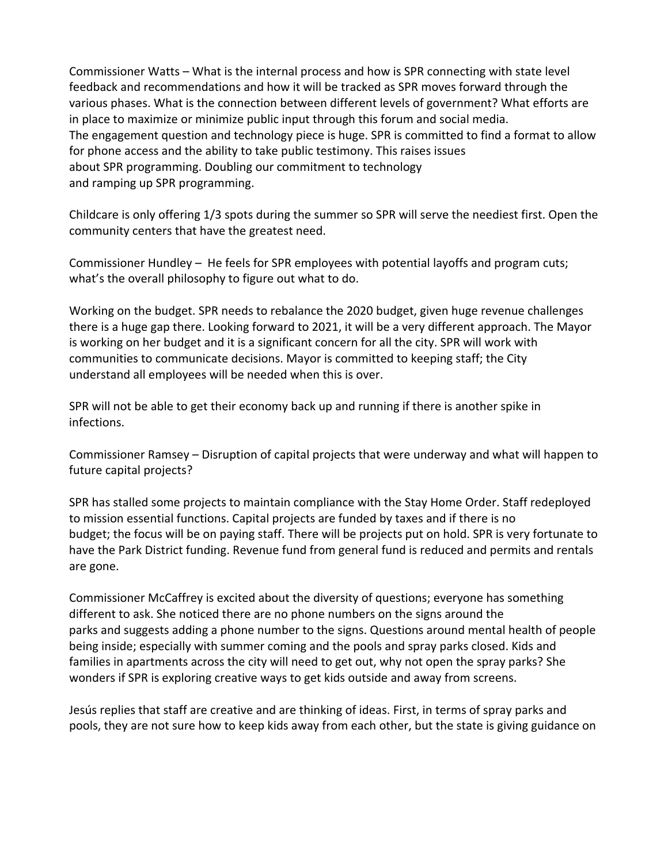Commissioner Watts – What is the internal process and how is SPR connecting with state level feedback and recommendations and how it will be tracked as SPR moves forward through the various phases. What is the connection between different levels of government? What efforts are in place to maximize or minimize public input through this forum and social media. The engagement question and technology piece is huge. SPR is committed to find a format to allow for phone access and the ability to take public testimony. This raises issues about SPR programming. Doubling our commitment to technology and ramping up SPR programming.

Childcare is only offering 1/3 spots during the summer so SPR will serve the neediest first. Open the community centers that have the greatest need.

Commissioner Hundley – He feels for SPR employees with potential layoffs and program cuts; what's the overall philosophy to figure out what to do.

Working on the budget. SPR needs to rebalance the 2020 budget, given huge revenue challenges there is a huge gap there. Looking forward to 2021, it will be a very different approach. The Mayor is working on her budget and it is a significant concern for all the city. SPR will work with communities to communicate decisions. Mayor is committed to keeping staff; the City understand all employees will be needed when this is over.

SPR will not be able to get their economy back up and running if there is another spike in infections.

Commissioner Ramsey – Disruption of capital projects that were underway and what will happen to future capital projects?

SPR has stalled some projects to maintain compliance with the Stay Home Order. Staff redeployed to mission essential functions. Capital projects are funded by taxes and if there is no budget; the focus will be on paying staff. There will be projects put on hold. SPR is very fortunate to have the Park District funding. Revenue fund from general fund is reduced and permits and rentals are gone.

Commissioner McCaffrey is excited about the diversity of questions; everyone has something different to ask. She noticed there are no phone numbers on the signs around the parks and suggests adding a phone number to the signs. Questions around mental health of people being inside; especially with summer coming and the pools and spray parks closed. Kids and families in apartments across the city will need to get out, why not open the spray parks? She wonders if SPR is exploring creative ways to get kids outside and away from screens.

Jesús replies that staff are creative and are thinking of ideas. First, in terms of spray parks and pools, they are not sure how to keep kids away from each other, but the state is giving guidance on